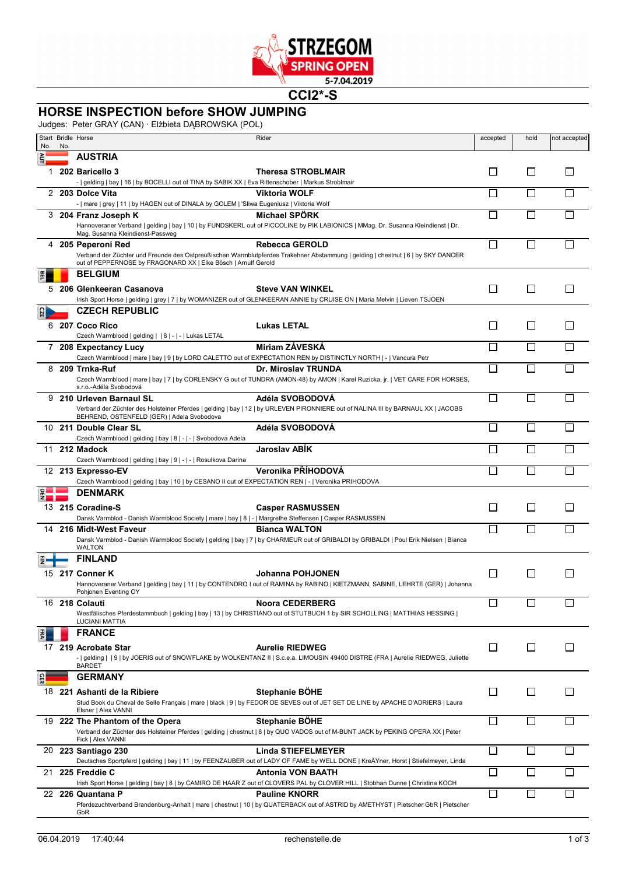

**CCI2\*-S**

## **HORSE INSPECTION before SHOW JUMPING**

Judges: Peter GRAY (CAN) · Elżbieta DĄBROWSKA (POL)

|     |     | $J^{\text{u}}$ and $J^{\text{u}}$ are $J^{\text{u}}$ and $J^{\text{u}}$ are $J^{\text{u}}$ and $J^{\text{u}}$ and $J^{\text{u}}$ are $J^{\text{u}}$ |                                                                                                                                                              |          |                             |              |
|-----|-----|-----------------------------------------------------------------------------------------------------------------------------------------------------|--------------------------------------------------------------------------------------------------------------------------------------------------------------|----------|-----------------------------|--------------|
| No. | No. | Start Bridle Horse                                                                                                                                  | Rider                                                                                                                                                        | accepted | hold                        | not accepted |
|     |     | <b>AUSTRIA</b>                                                                                                                                      |                                                                                                                                                              |          |                             |              |
| 1.  |     | 202 Baricello 3                                                                                                                                     | Theresa STROBLMAIR                                                                                                                                           | $\Box$   | $\mathsf{L}$                | $\mathsf{L}$ |
|     |     | -   gelding   bay   16   by BOCELLI out of TINA by SABIK XX   Eva Rittenschober   Markus Stroblmair                                                 |                                                                                                                                                              |          |                             |              |
|     |     | 2 203 Dolce Vita<br>-   mare   grey   11   by HAGEN out of DINALA by GOLEM   'Sliwa Eugeniusz   Viktoria Wolf                                       | <b>Viktoria WOLF</b>                                                                                                                                         | П        | П                           |              |
|     |     | 3 204 Franz Joseph K                                                                                                                                | <b>Michael SPORK</b>                                                                                                                                         | П        | П                           |              |
|     |     | Mag. Susanna Kleindienst-Passweg                                                                                                                    | Hannoveraner Verband   gelding   bay   10   by FUNDSKERL out of PICCOLINE by PIK LABIONICS   MMag. Dr. Susanna Kleindienst   Dr.                             |          |                             |              |
| 4   |     | 205 Peperoni Red                                                                                                                                    | <b>Rebecca GEROLD</b>                                                                                                                                        | П        |                             |              |
|     |     | out of PEPPERNOSE by FRAGONARD XX   Elke Bösch   Arnulf Gerold                                                                                      | Verband der Züchter und Freunde des Ostpreußischen Warmblutpferdes Trakehner Abstammung   gelding   chestnut   6   by SKY DANCER                             |          |                             |              |
|     |     | <b>BELGIUM</b>                                                                                                                                      |                                                                                                                                                              |          |                             |              |
|     |     | 5 206 Glenkeeran Casanova                                                                                                                           | <b>Steve VAN WINKEL</b>                                                                                                                                      | ப        | $\Box$                      | $\Box$       |
|     |     |                                                                                                                                                     | Irish Sport Horse   gelding   grey   7   by WOMANIZER out of GLENKEERAN ANNIE by CRUISE ON   Maria Melvin   Lieven TSJOEN                                    |          |                             |              |
|     |     | <b>CZECH REPUBLIC</b>                                                                                                                               |                                                                                                                                                              |          |                             |              |
|     |     | 6 207 Coco Rico                                                                                                                                     | <b>Lukas LETAL</b>                                                                                                                                           | $\Box$   | ⊔                           | ΙI           |
|     |     | Czech Warmblood   gelding     8   -   -   Lukas LETAL                                                                                               |                                                                                                                                                              |          |                             |              |
|     |     | 7 208 Expectancy Lucy                                                                                                                               | Miriam ZÁVESKÁ                                                                                                                                               | П        | $\Box$                      |              |
|     |     |                                                                                                                                                     | Czech Warmblood   mare   bay   9   by LORD CALETTO out of EXPECTATION REN by DISTINCTLY NORTH   -   Vancura Petr                                             |          |                             |              |
| 8   |     | 209 Trnka-Ruf                                                                                                                                       | Dr. Miroslav TRUNDA<br>Czech Warmblood   mare   bay   7   by CORLENSKY G out of TUNDRA (AMON-48) by AMON   Karel Ruzicka, jr.   VET CARE FOR HORSES,         | n        |                             |              |
|     |     | s.r.o.-Adéla Svobodová                                                                                                                              |                                                                                                                                                              |          |                             |              |
|     |     | 9 210 Urleven Barnaul SL                                                                                                                            | Adéla SVOBODOVÁ                                                                                                                                              | П        | $\Box$                      |              |
|     |     |                                                                                                                                                     | Verband der Züchter des Holsteiner Pferdes   gelding   bay   12   by URLEVEN PIRONNIERE out of NALINA III by BARNAUL XX   JACOBS                             |          |                             |              |
|     |     | BEHREND, OSTENFELD (GER)   Adela Svobodova<br>10 211 Double Clear SL                                                                                | Adéla SVOBODOVÁ                                                                                                                                              | П        | П                           |              |
|     |     | Czech Warmblood   gelding   bay   8   -   -   Svobodova Adela                                                                                       |                                                                                                                                                              |          |                             |              |
|     |     | 11 212 Madock                                                                                                                                       | <b>Jaroslav ABIK</b>                                                                                                                                         | П        | $\mathbf{I}$                |              |
|     |     | Czech Warmblood   gelding   bay   9   -   -   Rosulkova Darina                                                                                      |                                                                                                                                                              |          |                             |              |
|     |     | 12 213 Expresso-EV                                                                                                                                  | Veronika PŘÍHODOVÁ                                                                                                                                           | П        | П                           |              |
|     |     | Czech Warmblood   gelding   bay   10   by CESANO II out of EXPECTATION REN   -   Veronika PRIHODOVA                                                 |                                                                                                                                                              |          |                             |              |
|     |     | <b>DENMARK</b>                                                                                                                                      |                                                                                                                                                              |          |                             |              |
|     |     | 13 215 Coradine-S                                                                                                                                   | <b>Casper RASMUSSEN</b>                                                                                                                                      | $\Box$   | $\Box$                      | $\mathbf{L}$ |
|     |     | Dansk Varmblod - Danish Warmblood Society   mare   bay   8   -   Margrethe Steffensen   Casper RASMUSSEN                                            |                                                                                                                                                              |          |                             |              |
| 14  |     | 216 Midt-West Faveur                                                                                                                                | <b>Bianca WALTON</b><br>Dansk Varmblod - Danish Warmblood Society   gelding   bay   7   by CHARMEUR out of GRIBALDI by GRIBALDI   Poul Erik Nielsen   Bianca | П        | П                           |              |
|     |     | <b>WALTON</b>                                                                                                                                       |                                                                                                                                                              |          |                             |              |
|     |     | <b>FINLAND</b>                                                                                                                                      |                                                                                                                                                              |          |                             |              |
|     |     | 15 217 Conner K                                                                                                                                     | Johanna POHJONEN                                                                                                                                             | □        | l 1                         | П            |
|     |     |                                                                                                                                                     | Hannoveraner Verband   gelding   bay   11   by CONTENDRO I out of RAMINA by RABINO   KIETZMANN, SABINE, LEHRTE (GER)   Johanna                               |          |                             |              |
|     |     | Ponjonen Eventing OY                                                                                                                                |                                                                                                                                                              |          |                             |              |
| 16  |     | 218 Colauti                                                                                                                                         | <b>Noora CEDERBERG</b>                                                                                                                                       | □        |                             |              |
|     |     | <b>LUCIANI MATTIA</b>                                                                                                                               | Westfälisches Pferdestammbuch   gelding   bay   13   by CHRISTIANO out of STUTBUCH 1 by SIR SCHOLLING   MATTHIAS HESSING                                     |          |                             |              |
|     |     | <b>FRANCE</b>                                                                                                                                       |                                                                                                                                                              |          |                             |              |
|     |     | 17 219 Acrobate Star                                                                                                                                | <b>Aurelie RIEDWEG</b>                                                                                                                                       | □        | $\Box$                      | ⊔            |
|     |     |                                                                                                                                                     | -   gelding     9   by JOERIS out of SNOWFLAKE by WOLKENTANZ II   S.c.e.a. LIMOUSIN 49400 DISTRE (FRA   Aurelie RIEDWEG, Juliette                            |          |                             |              |
|     |     | <b>BARDET</b>                                                                                                                                       |                                                                                                                                                              |          |                             |              |
|     |     | <b>GERMANY</b>                                                                                                                                      |                                                                                                                                                              |          |                             |              |
|     |     | 18 221 Ashanti de la Ribiere                                                                                                                        | Stephanie BÖHE                                                                                                                                               | □        | ⊔                           | ⊔            |
|     |     | Elsner   Alex VANNI                                                                                                                                 | Stud Book du Cheval de Selle Français   mare   black   9   by FEDOR DE SEVES out of JET SET DE LINE by APACHE D'ADRIERS   Laura                              |          |                             |              |
| 19  |     | 222 The Phantom of the Opera                                                                                                                        | Stephanie BÖHE                                                                                                                                               | □        | П                           |              |
|     |     | Fick   Alex VANNI                                                                                                                                   | Verband der Züchter des Holsteiner Pferdes   gelding   chestnut   8   by QUO VADOS out of M-BUNT JACK by PEKING OPERA XX   Peter                             |          |                             |              |
|     |     | 20 223 Santiago 230                                                                                                                                 | Linda STIEFELMEYER                                                                                                                                           | $\Box$   | $\mathcal{L}_{\mathcal{A}}$ |              |
|     |     |                                                                                                                                                     | Deutsches Sportpferd   gelding   bay   11   by FEENZAUBER out of LADY OF FAME by WELL DONE   Kreßner, Horst   Stiefelmeyer, Linda                            |          |                             |              |
| 21  |     | 225 Freddie C                                                                                                                                       | <b>Antonia VON BAATH</b>                                                                                                                                     | П        | П                           |              |
|     |     |                                                                                                                                                     | Irish Sport Horse   gelding   bay   8   by CAMIRO DE HAAR Z out of CLOVERS PAL by CLOVER HILL   Stobhan Dunne   Christina KOCH                               |          |                             |              |
|     |     | 22 226 Quantana P<br>GbR                                                                                                                            | <b>Pauline KNORR</b><br>Pferdezuchtverband Brandenburg-Anhalt   mare   chestnut   10   by QUATERBACK out of ASTRID by AMETHYST   Pietscher GbR   Pietscher   | □        |                             |              |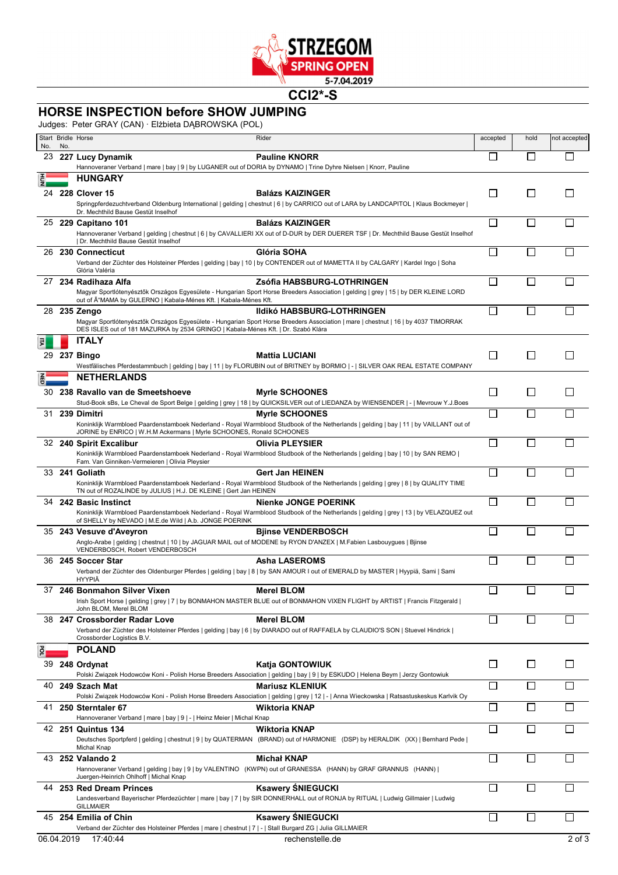

**CCI2\*-S**

## **HORSE INSPECTION before SHOW JUMPING**

Judges: Peter GRAY (CAN) · Elżbieta DĄBROWSKA (POL)

| No.        | No. | Start Bridle Horse                                                                                               | Rider                                                                                                                                                            | accepted       | hold         | not accepted |
|------------|-----|------------------------------------------------------------------------------------------------------------------|------------------------------------------------------------------------------------------------------------------------------------------------------------------|----------------|--------------|--------------|
|            |     | 23 227 Lucy Dynamik                                                                                              | <b>Pauline KNORR</b>                                                                                                                                             |                |              |              |
|            |     | Hannoveraner Verband   mare   bay   9   by LUGANER out of DORIA by DYNAMO   Trine Dyhre Nielsen   Knorr, Pauline |                                                                                                                                                                  |                |              |              |
|            |     | <b>HUNGARY</b>                                                                                                   |                                                                                                                                                                  |                |              |              |
|            |     | 24 228 Clover 15                                                                                                 | <b>Balázs KAIZINGER</b><br>Springpferdezuchtverband Oldenburg International   gelding   chestnut   6   by CARRICO out of LARA by LANDCAPITOL   Klaus Bockmeyer   | $\mathsf{I}$   | $\perp$      |              |
|            |     | Dr. Mechthild Bause Gestüt Inselhof                                                                              |                                                                                                                                                                  |                |              |              |
|            |     | 25 229 Capitano 101                                                                                              | <b>Balázs KAIZINGER</b><br>Hannoveraner Verband   gelding   chestnut   6   by CAVALLIERI XX out of D-DUR by DER DUERER TSF   Dr. Mechthild Bause Gestüt Inselhof | П              | $\mathsf{L}$ |              |
|            |     | Dr. Mechthild Bause Gestüt Inselhof                                                                              |                                                                                                                                                                  |                |              |              |
|            |     | 26 230 Connecticut                                                                                               | Glória SOHA                                                                                                                                                      |                |              |              |
|            |     | Glória Valéria                                                                                                   | Verband der Züchter des Holsteiner Pferdes   gelding   bay   10   by CONTENDER out of MAMETTA II by CALGARY   Kardel Ingo   Soha                                 |                |              |              |
| 27         |     | 234 Radihaza Alfa                                                                                                | Zsófia HABSBURG-LOTHRINGEN                                                                                                                                       | П              |              |              |
|            |     | out of A "MAMA by GULERNO   Kabala-Ménes Kft.   Kabala-Ménes Kft.                                                | Magyar Sportlótenyésztők Országos Egyesülete - Hungarian Sport Horse Breeders Association   gelding   grey   15   by DER KLEINE LORD                             |                |              |              |
|            |     | 28 235 Zengo                                                                                                     | <b>Ildikó HABSBURG-LOTHRINGEN</b>                                                                                                                                | П              | П            |              |
|            |     | DES ISLES out of 181 MAZURKA by 2534 GRINGO   Kabala-Ménes Kft.   Dr. Szabó Klára                                | Magyar Sportlótenyésztők Országos Egyesülete - Hungarian Sport Horse Breeders Association   mare   chestnut   16   by 4037 TIMORRAK                              |                |              |              |
| 긄          |     | <b>ITALY</b>                                                                                                     |                                                                                                                                                                  |                |              |              |
|            |     | 29 237 Bingo                                                                                                     | <b>Mattia LUCIANI</b>                                                                                                                                            | $\Box$         | $\perp$      | $\mathsf{L}$ |
|            |     | <b>NETHERLANDS</b>                                                                                               | Westfälisches Pferdestammbuch   gelding   bay   11   by FLORUBIN out of BRITNEY by BORMIO   -   SILVER OAK REAL ESTATE COMPANY                                   |                |              |              |
|            |     |                                                                                                                  |                                                                                                                                                                  |                |              |              |
|            |     | 30 238 Ravallo van de Smeetshoeve                                                                                | <b>Myrle SCHOONES</b><br>Stud-Book sBs, Le Cheval de Sport Belge   gelding   grey   18   by QUICKSILVER out of LIEDANZA by WIENSENDER   -   Mevrouw Y.J.Boes     | П              | $\Box$       | $\mathsf{L}$ |
|            |     | 31 239 Dimitri                                                                                                   | <b>Myrle SCHOONES</b>                                                                                                                                            | П              | П            |              |
|            |     | JORINE by ENRICO   W.H.M Ackermans   Myrle SCHOONES, Ronald SCHOONES                                             | Koninklijk Warmbloed Paardenstamboek Nederland - Royal Warmblood Studbook of the Netherlands   gelding   bay   11   by VAILLANT out of                           |                |              |              |
|            |     | 32 240 Spirit Excalibur                                                                                          | <b>Olivia PLEYSIER</b>                                                                                                                                           | П              |              |              |
|            |     | Fam. Van Ginniken-Vermeieren   Olivia Pleysier                                                                   | Koninklijk Warmbloed Paardenstamboek Nederland - Royal Warmblood Studbook of the Netherlands   gelding   bay   10   by SAN REMO                                  |                |              |              |
|            |     | 33 <b>241 Goliath</b>                                                                                            | Gert Jan HEINEN                                                                                                                                                  | П              | $\Box$       |              |
|            |     |                                                                                                                  | Koninklijk Warmbloed Paardenstamboek Nederland - Royal Warmblood Studbook of the Netherlands   gelding   grey   8   by QUALITY TIME                              |                |              |              |
|            |     | TN out of ROZALINDE by JULIUS   H.J. DE KLEINE   Gert Jan HEINEN<br>34 242 Basic Instinct                        | <b>Nienke JONGE POERINK</b>                                                                                                                                      |                |              |              |
|            |     |                                                                                                                  | Koninklijk Warmbloed Paardenstamboek Nederland - Royal Warmblood Studbook of the Netherlands   gelding   grey   13   by VELAZQUEZ out                            |                |              |              |
|            |     | of SHELLY by NEVADO   M.E.de Wild   A.b. JONGE POERINK<br>35 243 Vesuve d'Aveyron                                | <b>Bjinse VENDERBOSCH</b>                                                                                                                                        | $\mathbb{R}^n$ |              |              |
|            |     |                                                                                                                  | Anglo-Arabe   gelding   chestnut   10   by JAGUAR MAIL out of MODENE by RYON D'ANZEX   M.Fabien Lasbouygues   Bjinse                                             |                |              |              |
|            |     | VENDERBOSCH, Robert VENDERBOSCH<br>36 245 Soccer Star                                                            | <b>Asha LASEROMS</b>                                                                                                                                             | $\mathsf{I}$   |              |              |
|            |     |                                                                                                                  | Verband der Züchter des Oldenburger Pferdes   gelding   bay   8   by SAN AMOUR I out of EMERALD by MASTER   Hyypiä, Sami   Sami                                  |                |              |              |
| 37         |     | HYYPIÄ<br>246 Bonmahon Silver Vixen                                                                              | Merel BLOM                                                                                                                                                       |                |              |              |
|            |     |                                                                                                                  | Irish Sport Horse   gelding   grey   7   by BONMAHON MASTER BLUE out of BONMAHON VIXEN FLIGHT by ARTIST   Francis Fitzgerald                                     |                |              |              |
|            |     | John BLOM, Merel BLOM                                                                                            | <b>Merel BLOM</b>                                                                                                                                                | П              |              |              |
|            |     | 38 247 Crossborder Radar Love                                                                                    | Verband der Züchter des Holsteiner Pferdes   gelding   bay   6   by DIARADO out of RAFFAELA by CLAUDIO'S SON   Stuevel Hindrick                                  |                |              |              |
|            |     | Crossborder Logistics B.V.                                                                                       |                                                                                                                                                                  |                |              |              |
| ě          |     | <b>POLAND</b>                                                                                                    |                                                                                                                                                                  |                |              |              |
|            |     | 39 248 Ordynat                                                                                                   | Katja GONTOWIUK<br>Polski Związek Hodowców Koni - Polish Horse Breeders Association   gelding   bay   9   by ESKUDO   Helena Beym   Jerzy Gontowiuk              | $\mathsf{L}$   | $\perp$      |              |
|            |     | 40 249 Szach Mat                                                                                                 | <b>Mariusz KLENIUK</b>                                                                                                                                           |                |              |              |
|            |     |                                                                                                                  | Polski Związek Hodowców Koni - Polish Horse Breeders Association   gelding   grey   12   -   Anna Wieckowska   Ratsastuskeskus Karlvik Oy                        |                |              |              |
|            |     | 41 250 Sterntaler 67<br>Hannoveraner Verband   mare   bay   9   -   Heinz Meier   Michal Knap                    | <b>Wiktoria KNAP</b>                                                                                                                                             |                |              |              |
|            |     | 42 251 Quintus 134                                                                                               | <b>Wiktoria KNAP</b>                                                                                                                                             | П              |              |              |
|            |     | Michal Knap                                                                                                      | Deutsches Sportpferd   gelding   chestnut   9   by QUATERMAN (BRAND) out of HARMONIE (DSP) by HERALDIK (XX)   Bernhard Pede                                      |                |              |              |
|            |     | 43 252 Valando 2                                                                                                 | <b>Michał KNAP</b>                                                                                                                                               | П              |              |              |
|            |     |                                                                                                                  | Hannoveraner Verband   gelding   bay   9   by VALENTINO (KWPN) out of GRANESSA (HANN) by GRAF GRANNUS (HANN)                                                     |                |              |              |
|            |     | Juergen-Heinrich Ohlhoff   Michal Knap<br>44 253 Red Dream Princes                                               | <b>Ksawery ŚNIEGUCKI</b>                                                                                                                                         | П              | П            |              |
|            |     |                                                                                                                  | Landesverband Bayerischer Pferdezüchter   mare   bay   7   by SIR DONNERHALL out of RONJA by RITUAL   Ludwig Gillmaier   Ludwig                                  |                |              |              |
|            |     | <b>GILLMAIER</b><br>45 254 Emilia of Chin                                                                        | <b>Ksawery SNIEGUCKI</b>                                                                                                                                         | $\Box$         |              |              |
|            |     | Verband der Züchter des Holsteiner Pferdes   mare   chestnut   7   -   Stall Burgard ZG   Julia GILLMAIER        |                                                                                                                                                                  |                |              |              |
| 06.04.2019 |     | 17:40:44                                                                                                         | rechenstelle.de                                                                                                                                                  |                |              | 2 of 3       |